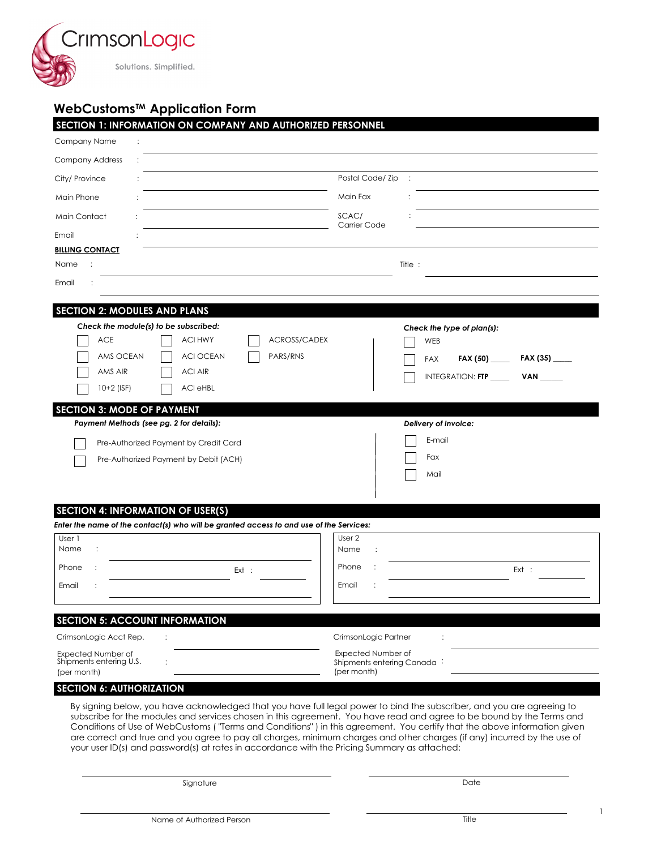

# **WebCustoms™ Application Form**

|                                                | SECTION 1: INFORMATION ON COMPANY AND AUTHORIZED PERSONNEL                              |                     |                            |                                                    |
|------------------------------------------------|-----------------------------------------------------------------------------------------|---------------------|----------------------------|----------------------------------------------------|
| Company Name                                   |                                                                                         |                     |                            |                                                    |
| <b>Company Address</b>                         |                                                                                         |                     |                            |                                                    |
| City/ Province                                 |                                                                                         |                     | Postal Code/Zip            | $\sim$ 1                                           |
| Main Phone                                     |                                                                                         |                     | Main Fax                   |                                                    |
| Main Contact                                   |                                                                                         |                     | SCAC/                      |                                                    |
| Email                                          |                                                                                         |                     | Carrier Code               |                                                    |
| <b>BILLING CONTACT</b>                         |                                                                                         |                     |                            |                                                    |
| Name                                           |                                                                                         |                     |                            | Title:                                             |
| Email                                          |                                                                                         |                     |                            |                                                    |
| <b>SECTION 2: MODULES AND PLANS</b>            |                                                                                         |                     |                            |                                                    |
|                                                | Check the module(s) to be subscribed:                                                   |                     |                            | Check the type of plan(s):                         |
| <b>ACE</b>                                     | <b>ACI HWY</b>                                                                          | <b>ACROSS/CADEX</b> |                            | WEB                                                |
| AMS OCEAN                                      | <b>ACI OCEAN</b>                                                                        | PARS/RNS            |                            | FAX (35) $\_$<br><b>FAX</b><br>FAX $(50)$ ________ |
| AMS AIR                                        | <b>ACI AIR</b>                                                                          |                     |                            | INTEGRATION: FTP<br><b>VAN</b>                     |
| $10+2$ (ISF)                                   | <b>ACI eHBL</b>                                                                         |                     |                            |                                                    |
| <b>SECTION 3: MODE OF PAYMENT</b>              |                                                                                         |                     |                            |                                                    |
|                                                | Payment Methods (see pg. 2 for details):                                                |                     |                            | Delivery of Invoice:                               |
|                                                | Pre-Authorized Payment by Credit Card                                                   |                     |                            | E-mail                                             |
|                                                | Pre-Authorized Payment by Debit (ACH)                                                   |                     |                            | Fax                                                |
|                                                |                                                                                         |                     |                            | Mail                                               |
|                                                |                                                                                         |                     |                            |                                                    |
|                                                | <b>SECTION 4: INFORMATION OF USER(S)</b>                                                |                     |                            |                                                    |
|                                                | Enter the name of the contact(s) who will be granted access to and use of the Services: |                     |                            |                                                    |
| User 1<br>Name<br>÷                            |                                                                                         |                     | User 2                     |                                                    |
|                                                |                                                                                         |                     | Name<br>$\ddot{\cdot}$     |                                                    |
| Phone                                          | Ext :                                                                                   |                     | Phone                      | Ext :                                              |
| Email                                          |                                                                                         |                     | Email                      |                                                    |
|                                                | <b>SECTION 5: ACCOUNT INFORMATION</b>                                                   |                     |                            |                                                    |
|                                                |                                                                                         |                     | CrimsonLogic Partner       |                                                    |
|                                                |                                                                                         |                     | Expected Number of         |                                                    |
| CrimsonLogic Acct Rep.                         |                                                                                         |                     |                            |                                                    |
| Expected Number of<br>Shipments entering U.S.  |                                                                                         |                     | Shipments entering Canada: |                                                    |
| (per month)<br><b>SECTION 6: AUTHORIZATION</b> |                                                                                         |                     | (per month)                |                                                    |

subscribe for the modules and services chosen in this agreement. You have read and agree to be bound by the Terms and Conditions of Use of WebCustoms ( "Terms and Conditions" ) in this agreement. You certify that the above information given are correct and true and you agree to pay all charges, minimum charges and other charges (if any) incurred by the use of your user ID(s) and password(s) at rates in accordance with the Pricing Summary as attached:

Signature

Date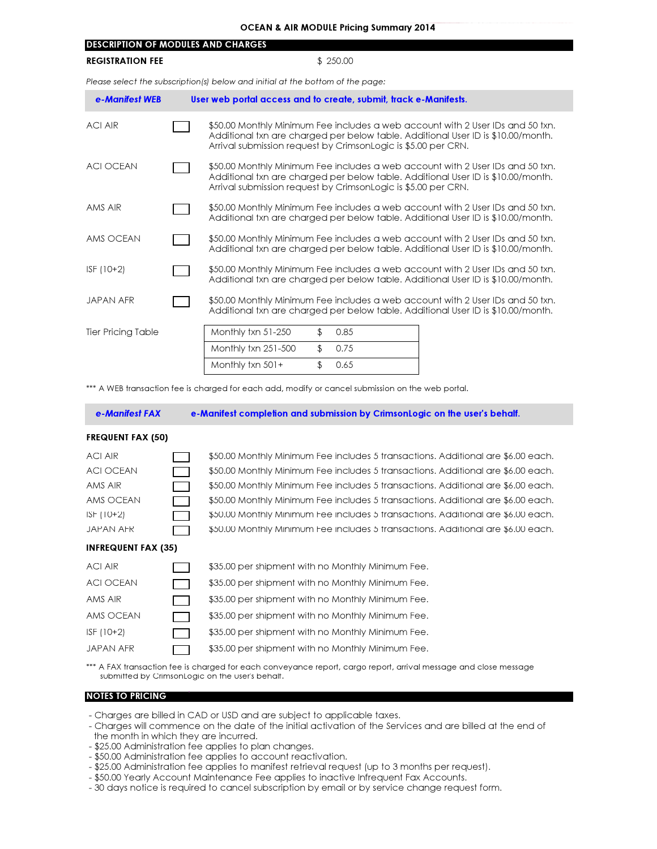| <b>OCEAN &amp; AIR MODULE Pricing Summary 2014</b>                             |  |                                                                                                                                                                                                                                     |  |  |  |  |  |
|--------------------------------------------------------------------------------|--|-------------------------------------------------------------------------------------------------------------------------------------------------------------------------------------------------------------------------------------|--|--|--|--|--|
| <b>DESCRIPTION OF MODULES AND CHARGES</b>                                      |  |                                                                                                                                                                                                                                     |  |  |  |  |  |
| <b>REGISTRATION FEE</b>                                                        |  | \$250.00                                                                                                                                                                                                                            |  |  |  |  |  |
| Please select the subscription(s) below and initial at the bottom of the page: |  |                                                                                                                                                                                                                                     |  |  |  |  |  |
| e-Manifest WEB                                                                 |  | User web portal access and to create, submit, track e-Manifests.                                                                                                                                                                    |  |  |  |  |  |
| <b>ACI AIR</b>                                                                 |  | \$50.00 Monthly Minimum Fee includes a web account with 2 User IDs and 50 txn.<br>Additional txn are charged per below table. Additional User ID is \$10.00/month.<br>Arrival submission request by CrimsonLogic is \$5.00 per CRN. |  |  |  |  |  |
| <b>ACI OCEAN</b>                                                               |  | \$50.00 Monthly Minimum Fee includes a web account with 2 User IDs and 50 txn.<br>Additional txn are charged per below table. Additional User ID is \$10.00/month.<br>Arrival submission request by CrimsonLogic is \$5.00 per CRN. |  |  |  |  |  |
| AMS AIR                                                                        |  | \$50.00 Monthly Minimum Fee includes a web account with 2 User IDs and 50 txn.<br>Additional txn are charged per below table. Additional User ID is \$10.00/month.                                                                  |  |  |  |  |  |
| AMS OCFAN                                                                      |  | \$50.00 Monthly Minimum Fee includes a web account with 2 User IDs and 50 txn.<br>Additional txn are charged per below table. Additional User ID is \$10.00/month.                                                                  |  |  |  |  |  |
| $ISF(10+2)$                                                                    |  | \$50.00 Monthly Minimum Fee includes a web account with 2 User IDs and 50 txn.<br>Additional txn are charged per below table. Additional User ID is \$10.00/month.                                                                  |  |  |  |  |  |
| <b>JAPAN AFR</b>                                                               |  | \$50.00 Monthly Minimum Fee includes a web account with 2 User IDs and 50 txn.<br>Additional txn are charged per below table. Additional User ID is \$10.00/month.                                                                  |  |  |  |  |  |
| <b>Tier Pricing Table</b>                                                      |  | \$<br>Monthly txn 51-250<br>0.85                                                                                                                                                                                                    |  |  |  |  |  |

 Monthly txn 501+ \$ 0.65

\*\*\* A WEB transaction fee is charged for each add, modify or cancel submission on the web portal.

Monthly txn 251-500

# e-Manifest FAX

e-Manifest completion and submission by CrimsonLogic on the user's behalf.

\$ 0.75

# FREQUENT FAX (50)

| ACI AIR                    | \$50.00 Monthly Minimum Fee includes 5 transactions. Additional are \$6.00 each. |
|----------------------------|----------------------------------------------------------------------------------|
| ACI OCEAN                  | \$50.00 Monthly Minimum Fee includes 5 transactions. Additional are \$6.00 each. |
| AMS AIR                    | \$50.00 Monthly Minimum Fee includes 5 transactions. Additional are \$6.00 each. |
| AMS OCEAN                  | \$50.00 Monthly Minimum Fee includes 5 transactions. Additional are \$6.00 each. |
| ISF (10+2)                 | \$50.00 Monthly Minimum Fee includes 5 transactions. Additional are \$6.00 each. |
| JAPAN AFR                  | \$50.00 Monthly Minimum Fee includes 5 transactions. Additional are \$6.00 each. |
| <b>INFREQUENT FAX (35)</b> |                                                                                  |
| ACI AIR                    | \$35.00 per shipment with no Monthly Minimum Fee.                                |
| ACI OCEAN                  | \$35.00 per shipment with no Monthly Minimum Fee.                                |
| AMS AIR                    | \$35.00 per shipment with no Monthly Minimum Fee.                                |
| AMS OCEAN                  | \$35.00 per shipment with no Monthly Minimum Fee.                                |
| $ISF(10+2)$                | \$35.00 per shipment with no Monthly Minimum Fee.                                |
| JAPAN AFR                  | \$35.00 per shipment with no Monthly Minimum Fee.                                |
|                            |                                                                                  |

\*\*\* A FAX transaction fee is charged for each conveyance report, cargo report, arrival message and close message submitted by CrimsonLogic on the user's behalf.

# NOTES TO PRICING

- Charges are billed in CAD or USD and are subject to applicable taxes.

- Charges will commence on the date of the initial activation of the Services and are billed at the end of the month in which they are incurred.
- \$25.00 Administration fee applies to plan changes.
- \$50.00 Administration fee applies to account reactivation.
- \$25.00 Administration fee applies to manifest retrieval request (up to 3 months per request).
- \$50.00 Yearly Account Maintenance Fee applies to inactive Infrequent Fax Accounts.
- 30 days notice is required to cancel subscription by email or by service change request form.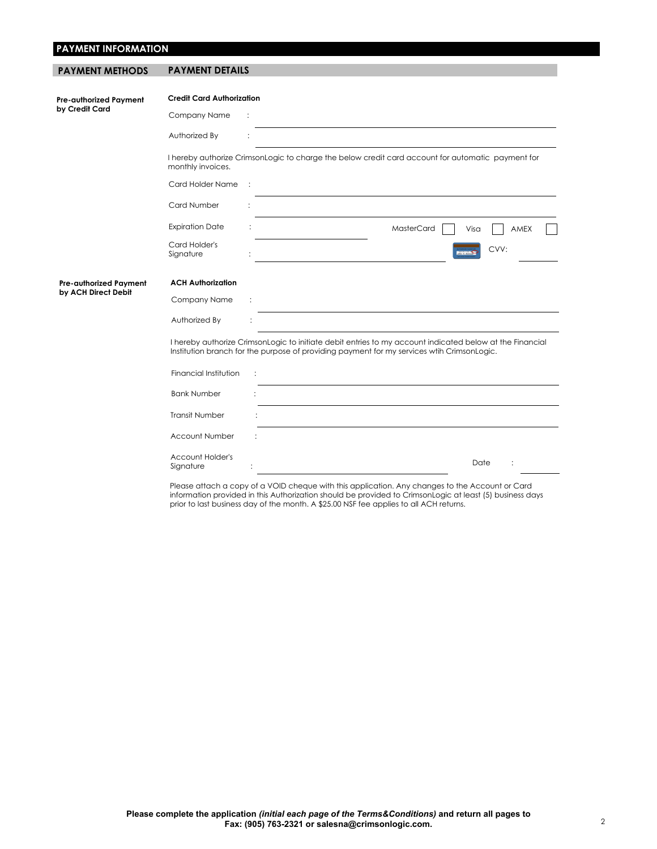# **PAYMENT INFORMATION**

| <b>PAYMENT METHODS</b>        | <b>PAYMENT DETAILS</b>           |                                                                                                                                                                                                        |
|-------------------------------|----------------------------------|--------------------------------------------------------------------------------------------------------------------------------------------------------------------------------------------------------|
|                               |                                  |                                                                                                                                                                                                        |
| <b>Pre-authorized Payment</b> | <b>Credit Card Authorization</b> |                                                                                                                                                                                                        |
| by Credit Card                | Company Name                     | $\ddot{\cdot}$                                                                                                                                                                                         |
|                               | Authorized By                    |                                                                                                                                                                                                        |
|                               | monthly invoices.                | I hereby authorize CrimsonLogic to charge the below credit card account for automatic payment for                                                                                                      |
|                               | Card Holder Name                 | $\mathbb{R}^2$                                                                                                                                                                                         |
|                               | Card Number                      |                                                                                                                                                                                                        |
|                               | <b>Expiration Date</b>           | MasterCard<br>AMEX<br>Visa                                                                                                                                                                             |
|                               | Card Holder's<br>Signature       | CVV:<br><b>Report Follows</b>                                                                                                                                                                          |
| Pre-authorized Payment        | <b>ACH Authorization</b>         |                                                                                                                                                                                                        |
| by ACH Direct Debit           | Company Name                     |                                                                                                                                                                                                        |
|                               | Authorized By                    |                                                                                                                                                                                                        |
|                               |                                  | I hereby authorize CrimsonLogic to initiate debit entries to my account indicated below at the Financial<br>Institution branch for the purpose of providing payment for my services wtih CrimsonLogic. |
|                               | Financial Institution            | ÷                                                                                                                                                                                                      |
|                               | <b>Bank Number</b>               |                                                                                                                                                                                                        |
|                               | <b>Transit Number</b>            |                                                                                                                                                                                                        |
|                               | Account Number                   |                                                                                                                                                                                                        |

Account Holder's Signature : Date : Please attach a copy of a VOID cheque with this application. Any changes to the Account or Card

information provided in this Authorization should be provided to CrimsonLogic at least (5) business days prior to last business day of the month. A \$25.00 NSF fee applies to all ACH returns.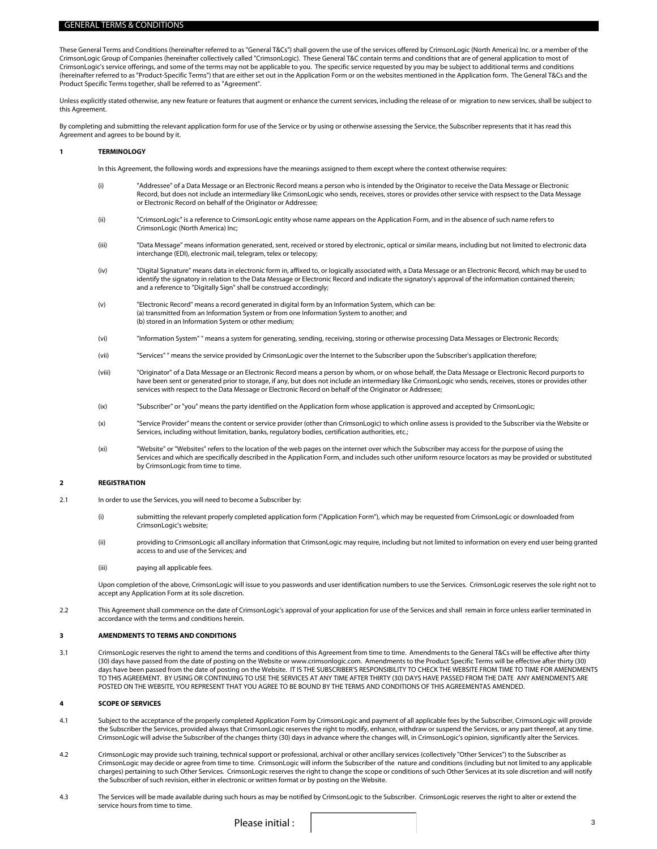### GENERAL TERMS & CONDITIONS

These General Terms and Conditions (hereinafter referred to as "General T&Cs") shall govern the use of the services offered by CrimsonLogic (North America) Inc. or a member of the CrimsonLogic Group of Companies (hereinafter collectively called "CrimsonLogic). These General T&C contain terms and conditions that are of general application to most of CrimsonLogic's service offerings, and some of the terms may not be applicable to you. The specific service requested by you may be subject to additional terms and conditions (hereinafter referred to as "Product-Specific Terms") that are either set out in the Application Form or on the websites mentioned in the Application form. The General T&Cs and the Product Specific Terms together, shall be referred to as "Agreement".

Unless explicitly stated otherwise, any new feature or features that augment or enhance the current services, including the release of or migration to new services, shall be subject to this Agreement.

By completing and submitting the relevant application form for use of the Service or by using or otherwise assessing the Service, the Subscriber represents that it has read this Agreement and agrees to be bound by it.

## **1 TERMINOLOGY**

In this Agreement, the following words and expressions have the meanings assigned to them except where the context otherwise requires:

- (i) "Addressee" of a Data Message or an Electronic Record means a person who is intended by the Originator to receive the Data Message or Electronic Record, but does not include an intermediary like CrimsonLogic who sends, receives, stores or provides other service with respsect to the Data Message or Electronic Record on behalf of the Originator or Addressee;
- (ii) "CrimsonLogic" is a reference to CrimsonLogic entity whose name appears on the Application Form, and in the absence of such name refers to CrimsonLogic (North America) Inc;
- (iii) "Data Message" means information generated, sent, received or stored by electronic, optical or similar means, including but not limited to electronic data interchange (EDI), electronic mail, telegram, telex or telecopy;
- (iv) "Digital Signature" means data in electronic form in, affixed to, or logically associated with, a Data Message or an Electronic Record, which may be used to identify the signatory in relation to the Data Message or Electronic Record and indicate the signatory's approval of the information contained therein; and a reference to "Digitally Sign" shall be construed accordingly;
- (v) "Electronic Record" means a record generated in digital form by an Information System, which can be: (a) transmitted from an Information System or from one Information System to another; and (b) stored in an Information System or other medium;
- (vi) "Information System" " means a system for generating, sending, receiving, storing or otherwise processing Data Messages or Electronic Records;
- (vii) "Services" " means the service provided by CrimsonLogic over the Internet to the Subscriber upon the Subscriber's application therefore;
- (viii) "Originator" of a Data Message or an Electronic Record means a person by whom, or on whose behalf, the Data Message or Electronic Record purports to have been sent or generated prior to storage, if any, but does not include an intermediary like CrimsonLogic who sends, receives, stores or provides other services with respect to the Data Message or Electronic Record on behalf of the Originator or Addressee;
- (ix) "Subscriber" or "you" means the party identified on the Application form whose application is approved and accepted by CrimsonLogic;
- (x) "Service Provider" means the content or service provider (other than CrimsonLogic) to which online assess is provided to the Subscriber via the Website or Services, including without limitation, banks, regulatory bodies, certification authorities, etc.;
- (xi) "Website" or "Websites" refers to the location of the web pages on the internet over which the Subscriber may access for the purpose of using the Services and which are specifically described in the Application Form, and includes such other uniform resource locators as may be provided or substituted by CrimsonLogic from time to time.

#### **2 REGISTRATION**

- 2.1 In order to use the Services, you will need to become a Subscriber by:
	- (i) submitting the relevant properly completed application form ("Application Form"), which may be requested from CrimsonLogic or downloaded from CrimsonLogic's website;
	- (ii) providing to CrimsonLogic all ancillary information that CrimsonLogic may require, including but not limited to information on every end user being granted access to and use of the Services; and
	- (iii) paying all applicable fees.

Upon completion of the above, CrimsonLogic will issue to you passwords and user identification numbers to use the Services. CrimsonLogic reserves the sole right not to accept any Application Form at its sole discretion.

2.2 This Agreement shall commence on the date of CrimsonLogic's approval of your application for use of the Services and shall remain in force unless earlier terminated in accordance with the terms and conditions herein.

#### **3 AMENDMENTS TO TERMS AND CONDITIONS**

3.1 CrimsonLogic reserves the right to amend the terms and conditions of this Agreement from time to time. Amendments to the General T&Cs will be effective after thirty (30) days have passed from the date of posting on the Website or www.crimsonlogic.com. Amendments to the Product Specific Terms will be effective after thirty (30) days have been passed from the date of posting on the Website. IT IS THE SUBSCRIBER'S RESPONSIBILITY TO CHECK THE WEBSITE FROM TIME TO TIME FOR AMENDMENTS TO THIS AGREEMENT. BY USING OR CONTINUING TO USE THE SERVICES AT ANY TIME AFTER THIRTY (30) DAYS HAVE PASSED FROM THE DATE ANY AMENDMENTS ARE POSTED ON THE WEBSITE, YOU REPRESENT THAT YOU AGREE TO BE BOUND BY THE TERMS AND CONDITIONS OF THIS AGREEMENTAS AMENDED.

#### **4 SCOPE OF SERVICES**

- 4.1 Subject to the acceptance of the properly completed Application Form by CrimsonLogic and payment of all applicable fees by the Subscriber, CrimsonLogic will provide the Subscriber the Services, provided always that CrimsonLogic reserves the right to modify, enhance, withdraw or suspend the Services, or any part thereof, at any time. CrimsonLogic will advise the Subscriber of the changes thirty (30) days in advance where the changes will, in CrimsonLogic's opinion, significantly alter the Services.
- 4.2 CrimsonLogic may provide such training, technical support or professional, archival or other ancillary services (collectively "Other Services") to the Subscriber as CrimsonLogic may decide or agree from time to time. CrimsonLogic will inform the Subscriber of the nature and conditions (including but not limited to any applicable charges) pertaining to such Other Services. CrimsonLogic reserves the right to change the scope or conditions of such Other Services at its sole discretion and will notify the Subscriber of such revision, either in electronic or written format or by posting on the Website.
- 4.3 The Services will be made available during such hours as may be notified by CrimsonLogic to the Subscriber. CrimsonLogic reserves the right to alter or extend the service hours from time to time.

Please initial :  $\begin{array}{ccc} \hline \end{array}$  3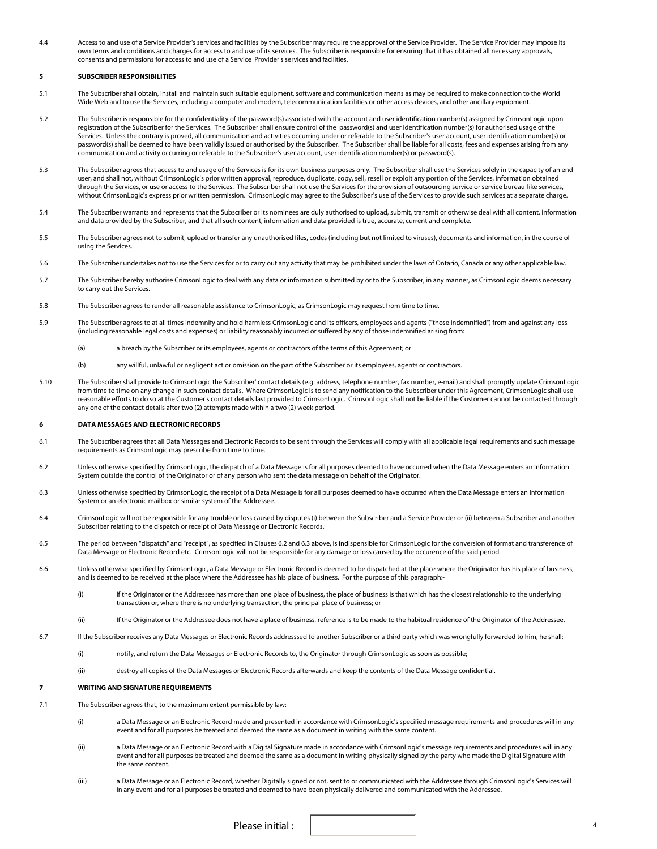4.4 Access to and use of a Service Provider's services and facilities by the Subscriber may require the approval of the Service Provider. The Service Provider may impose its own terms and conditions and charges for access to and use of its services. The Subscriber is responsible for ensuring that it has obtained all necessary approvals, consents and permissions for access to and use of a Service Provider's services and facilities.

# **5 SUBSCRIBER RESPONSIBILITIES**

- 5.1 The Subscriber shall obtain, install and maintain such suitable equipment, software and communication means as may be required to make connection to the World Wide Web and to use the Services, including a computer and modem, telecommunication facilities or other access devices, and other ancillary equipment.
- 5.2 The Subscriber is responsible for the confidentiality of the password(s) associated with the account and user identification number(s) assigned by CrimsonLogic upon registration of the Subscriber for the Services. The Subscriber shall ensure control of the password(s) and user identification number(s) for authorised usage of the Services. Unless the contrary is proved, all communication and activities occurring under or referable to the Subscriber's user account, user identification number(s) or password(s) shall be deemed to have been validly issued or authorised by the Subscriber. The Subscriber shall be liable for all costs, fees and expenses arising from any communication and activity occurring or referable to the Subscriber's user account, user identification number(s) or password(s).
- 5.3 The Subscriber agrees that access to and usage of the Services is for its own business purposes only. The Subscriber shall use the Services solely in the capacity of an enduser, and shall not, without CrimsonLogic's prior written approval, reproduce, duplicate, copy, sell, resell or exploit any portion of the Services, information obtained through the Services, or use or access to the Services. The Subscriber shall not use the Services for the provision of outsourcing service or service bureau-like services, without CrimsonLogic's express prior written permission. CrimsonLogic may agree to the Subscriber's use of the Services to provide such services at a separate charge.
- 5.4 The Subscriber warrants and represents that the Subscriber or its nominees are duly authorised to upload, submit, transmit or otherwise deal with all content, information and data provided by the Subscriber, and that all such content, information and data provided is true, accurate, current and complete.
- 5.5 The Subscriber agrees not to submit, upload or transfer any unauthorised files, codes (including but not limited to viruses), documents and information, in the course of using the Services.
- 5.6 The Subscriber undertakes not to use the Services for or to carry out any activity that may be prohibited under the laws of Ontario, Canada or any other applicable law.
- 5.7 The Subscriber hereby authorise CrimsonLogic to deal with any data or information submitted by or to the Subscriber, in any manner, as CrimsonLogic deems necessary to carry out the Services.
- 5.8 The Subscriber agrees to render all reasonable assistance to CrimsonLogic, as CrimsonLogic may request from time to time.
- 5.9 The Subscriber agrees to at all times indemnify and hold harmless CrimsonLogic and its officers, employees and agents ("those indemnified") from and against any loss (including reasonable legal costs and expenses) or liability reasonably incurred or suffered by any of those indemnified arising from:
	- (a) a breach by the Subscriber or its employees, agents or contractors of the terms of this Agreement; or
	- (b) any willful, unlawful or negligent act or omission on the part of the Subscriber or its employees, agents or contractors.
- 5.10 The Subscriber shall provide to CrimsonLogic the Subscriber' contact details (e.g. address, telephone number, fax number, e-mail) and shall promptly update CrimsonLogic from time to time on any change in such contact details. Where CrimsonLogic is to send any notification to the Subscriber under this Agreement, CrimsonLogic shall use reasonable efforts to do so at the Customer's contact details last provided to CrimsonLogic. CrimsonLogic shall not be liable if the Customer cannot be contacted through any one of the contact details after two (2) attempts made within a two (2) week period.

# **6 DATA MESSAGES AND ELECTRONIC RECORDS**

- 6.1 The Subscriber agrees that all Data Messages and Electronic Records to be sent through the Services will comply with all applicable legal requirements and such message requirements as CrimsonLogic may prescribe from time to time.
- 6.2 Unless otherwise specified by CrimsonLogic, the dispatch of a Data Message is for all purposes deemed to have occurred when the Data Message enters an Information System outside the control of the Originator or of any person who sent the data message on behalf of the Originator.
- 6.3 Unless otherwise specified by CrimsonLogic, the receipt of a Data Message is for all purposes deemed to have occurred when the Data Message enters an Information System or an electronic mailbox or similar system of the Addressee.
- 6.4 CrimsonLogic will not be responsible for any trouble or loss caused by disputes (i) between the Subscriber and a Service Provider or (ii) between a Subscriber and another Subscriber relating to the dispatch or receipt of Data Message or Electronic Records.
- 6.5 The period between "dispatch" and "receipt", as specified in Clauses 6.2 and 6.3 above, is indispensible for CrimsonLogic for the conversion of format and transference of Data Message or Electronic Record etc. CrimsonLogic will not be responsible for any damage or loss caused by the occurence of the said period.
- 6.6 Unless otherwise specified by CrimsonLogic, a Data Message or Electronic Record is deemed to be dispatched at the place where the Originator has his place of business, and is deemed to be received at the place where the Addressee has his place of business. For the purpose of this paragraph:-
	- (i) If the Originator or the Addressee has more than one place of business, the place of business is that which has the closest relationship to the underlying transaction or, where there is no underlying transaction, the principal place of business; or
	- (ii) If the Originator or the Addressee does not have a place of business, reference is to be made to the habitual residence of the Originator of the Addressee.
- 6.7 If the Subscriber receives any Data Messages or Electronic Records addresssed to another Subscriber or a third party which was wrongfully forwarded to him, he shall:-
	- (i) notify, and return the Data Messages or Electronic Records to, the Originator through CrimsonLogic as soon as possible;
	- (ii) destroy all copies of the Data Messages or Electronic Records afterwards and keep the contents of the Data Message confidential.

### **7 WRITING AND SIGNATURE REQUIREMENTS**

- 7.1 The Subscriber agrees that, to the maximum extent permissible by law:-
	- (i) a Data Message or an Electronic Record made and presented in accordance with CrimsonLogic's specified message requirements and procedures will in any event and for all purposes be treated and deemed the same as a document in writing with the same content.
	- (ii) a Data Message or an Electronic Record with a Digital Signature made in accordance with CrimsonLogic's message requirements and procedures will in any event and for all purposes be treated and deemed the same as a document in writing physically signed by the party who made the Digital Signature with the same content.
	- (iii) a Data Message or an Electronic Record, whether Digitally signed or not, sent to or communicated with the Addressee through CrimsonLogic's Services will in any event and for all purposes be treated and deemed to have been physically delivered and communicated with the Addressee.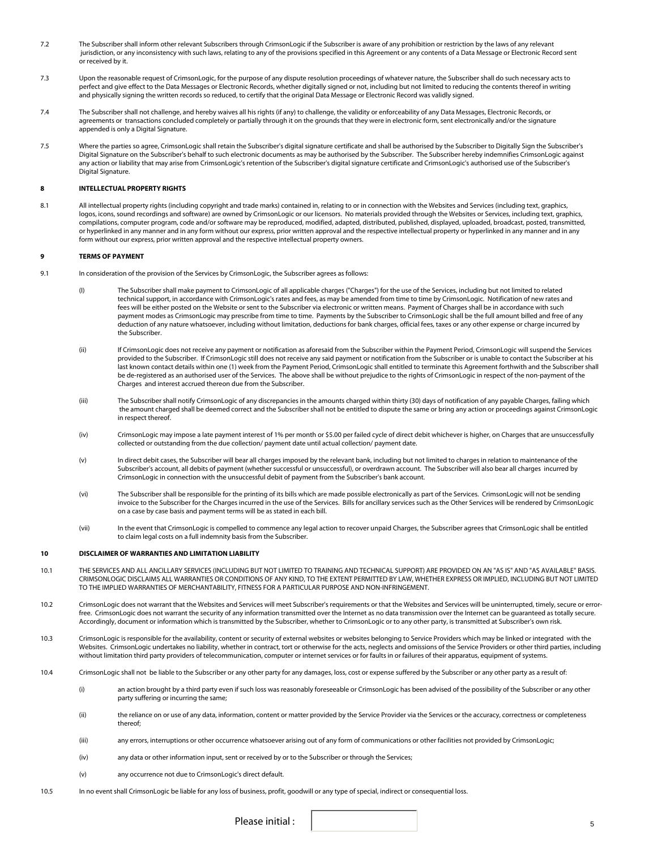- 7.2 The Subscriber shall inform other relevant Subscribers through CrimsonLogic if the Subscriber is aware of any prohibition or restriction by the laws of any relevant jurisdiction, or any inconsistency with such laws, relating to any of the provisions specified in this Agreement or any contents of a Data Message or Electronic Record sent or received by it.
- 7.3 Upon the reasonable request of CrimsonLogic, for the purpose of any dispute resolution proceedings of whatever nature, the Subscriber shall do such necessary acts to perfect and give effect to the Data Messages or Electronic Records, whether digitally signed or not, including but not limited to reducing the contents thereof in writing and physically signing the written records so reduced, to certify that the original Data Message or Electronic Record was validly signed.
- 7.4 The Subscriber shall not challenge, and hereby waives all his rights (if any) to challenge, the validity or enforceability of any Data Messages, Electronic Records, or agreements or transactions concluded completely or partially through it on the grounds that they were in electronic form, sent electronically and/or the signature appended is only a Digital Signature.
- 7.5 Where the parties so agree, CrimsonLogic shall retain the Subscriber's digital signature certificate and shall be authorised by the Subscriber to Digitally Sign the Subscriber's Digital Signature on the Subscriber's behalf to such electronic documents as may be authorised by the Subscriber. The Subscriber hereby indemnifies CrimsonLogic against any action or liability that may arise from CrimsonLogic's retention of the Subscriber's digital signature certificate and CrimsonLogic's authorised use of the Subscriber's Digital Signature.

# **8 INTELLECTUAL PROPERTY RIGHTS**

8.1 All intellectual property rights (including copyright and trade marks) contained in, relating to or in connection with the Websites and Services (including text, graphics, logos, icons, sound recordings and software) are owned by CrimsonLogic or our licensors. No materials provided through the Websites or Services, including text, graphics, compilations, computer program, code and/or software may be reproduced, modified, adapted, distributed, published, displayed, uploaded, broadcast, posted, transmitted, or hyperlinked in any manner and in any form without our express, prior written approval and the respective intellectual property or hyperlinked in any manner and in any form without our express, prior written approval and the respective intellectual property owners.

#### **9 TERMS OF PAYMENT**

- 9.1 In consideration of the provision of the Services by CrimsonLogic, the Subscriber agrees as follows:
	- (I) The Subscriber shall make payment to CrimsonLogic of all applicable charges ("Charges") for the use of the Services, including but not limited to related technical support, in accordance with CrimsonLogic's rates and fees, as may be amended from time to time by CrimsonLogic. Notification of new rates and fees will be either posted on the Website or sent to the Subscriber via electronic or written means. Payment of Charges shall be in accordance with such payment modes as CrimsonLogic may prescribe from time to time. Payments by the Subscriber to CrimsonLogic shall be the full amount billed and free of any deduction of any nature whatsoever, including without limitation, deductions for bank charges, official fees, taxes or any other expense or charge incurred by the Subscriber.
	- (ii) If CrimsonLogic does not receive any payment or notification as aforesaid from the Subscriber within the Payment Period, CrimsonLogic will suspend the Services provided to the Subscriber. If CrimsonLogic still does not receive any said payment or notification from the Subscriber or is unable to contact the Subscriber at his last known contact details within one (1) week from the Payment Period, CrimsonLogic shall entitled to terminate this Agreement forthwith and the Subscriber shall be de-registered as an authorised user of the Services. The above shall be without prejudice to the rights of CrimsonLogic in respect of the non-payment of the Charges and interest accrued thereon due from the Subscriber.
	- (iii) The Subscriber shall notify CrimsonLogic of any discrepancies in the amounts charged within thirty (30) days of notification of any payable Charges, failing which the amount charged shall be deemed correct and the Subscriber shall not be entitled to dispute the same or bring any action or proceedings against CrimsonLogic in respect thereof.
	- (iv) CrimsonLogic may impose a late payment interest of 1% per month or \$5.00 per failed cycle of direct debit whichever is higher, on Charges that are unsuccessfully collected or outstanding from the due collection/ payment date until actual collection/ payment date.
	- (v) In direct debit cases, the Subscriber will bear all charges imposed by the relevant bank, including but not limited to charges in relation to maintenance of the Subscriber's account, all debits of payment (whether successful or unsuccessful), or overdrawn account. The Subscriber will also bear all charges incurred by CrimsonLogic in connection with the unsuccessful debit of payment from the Subscriber's bank account.
	- (vi) The Subscriber shall be responsible for the printing of its bills which are made possible electronically as part of the Services. CrimsonLogic will not be sending invoice to the Subscriber for the Charges incurred in the use of the Services. Bills for ancillary services such as the Other Services will be rendered by CrimsonLogic on a case by case basis and payment terms will be as stated in each bill.
	- (vii) In the event that CrimsonLogic is compelled to commence any legal action to recover unpaid Charges, the Subscriber agrees that CrimsonLogic shall be entitled to claim legal costs on a full indemnity basis from the Subscriber.

#### **10 DISCLAIMER OF WARRANTIES AND LIMITATION LIABILITY**

- 10.1 THE SERVICES AND ALL ANCILLARY SERVICES (INCLUDING BUT NOT LIMITED TO TRAINING AND TECHNICAL SUPPORT) ARE PROVIDED ON AN "AS IS" AND "AS AVAILABLE" BASIS. CRIMSONLOGIC DISCLAIMS ALL WARRANTIES OR CONDITIONS OF ANY KIND, TO THE EXTENT PERMITTED BY LAW, WHETHER EXPRESS OR IMPLIED, INCLUDING BUT NOT LIMITED TO THE IMPLIED WARRANTIES OF MERCHANTABILITY, FITNESS FOR A PARTICULAR PURPOSE AND NON-INFRINGEMENT.
- 10.2 CrimsonLogic does not warrant that the Websites and Services will meet Subscriber's requirements or that the Websites and Services will be uninterrupted, timely, secure or errorfree. CrimsonLogic does not warrant the security of any information transmitted over the Internet as no data transmission over the Internet can be guaranteed as totally secure. Accordingly, document or information which is transmitted by the Subscriber, whether to CrimsonLogic or to any other party, is transmitted at Subscriber's own risk.
- 10.3 CrimsonLogic is responsible for the availability, content or security of external websites or websites belonging to Service Providers which may be linked or integrated with the Websites. CrimsonLogic undertakes no liability, whether in contract, tort or otherwise for the acts, neglects and omissions of the Service Providers or other third parties, including without limitation third party providers of telecommunication, computer or internet services or for faults in or failures of their apparatus, equipment of systems.
- 10.4 CrimsonLogic shall not be liable to the Subscriber or any other party for any damages, loss, cost or expense suffered by the Subscriber or any other party as a result of:
	- (i) an action brought by a third party even if such loss was reasonably foreseeable or CrimsonLogic has been advised of the possibility of the Subscriber or any other party suffering or incurring the same;
	- (ii) the reliance on or use of any data, information, content or matter provided by the Service Provider via the Services or the accuracy, correctness or completeness thereof;
	- (iii) any errors, interruptions or other occurrence whatsoever arising out of any form of communications or other facilities not provided by CrimsonLogic;
	- (iv) any data or other information input, sent or received by or to the Subscriber or through the Services;
	- (v) any occurrence not due to CrimsonLogic's direct default.
- 10.5 In no event shall CrimsonLogic be liable for any loss of business, profit, goodwill or any type of special, indirect or consequential loss.